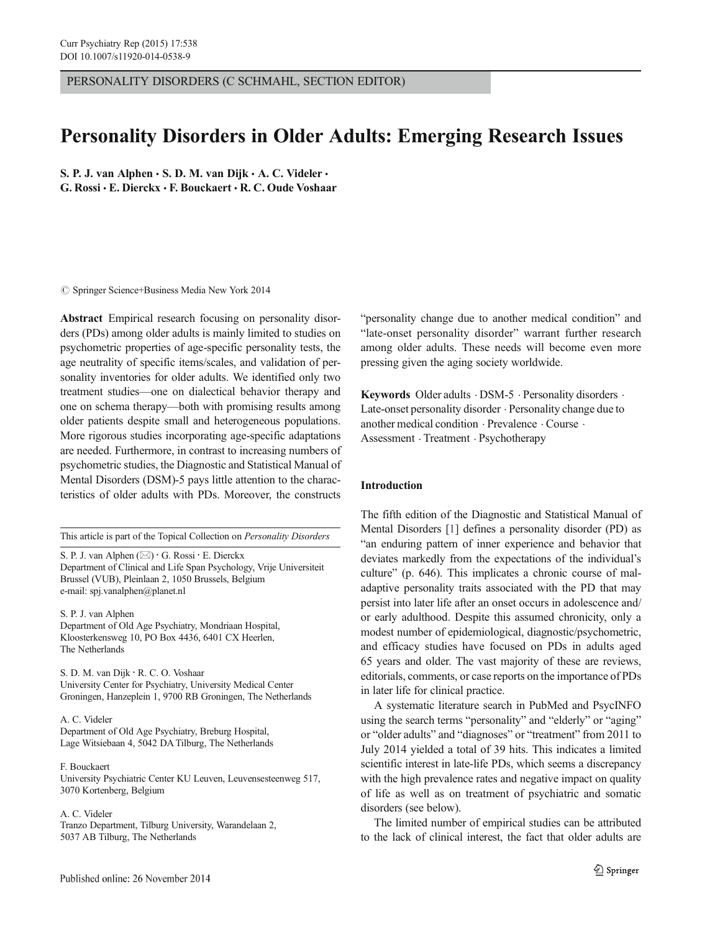PERSONALITY DISORDERS (C SCHMAHL, SECTION EDITOR)

# Personality Disorders in Older Adults: Emerging Research Issues

S. P. J. van Alphen  $\cdot$  S. D. M. van Dijk  $\cdot$  A. C. Videler  $\cdot$ G. Rossi & E. Dierckx & F. Bouckaert & R. C. Oude Voshaar

 $\circ$  Springer Science+Business Media New York 2014

Abstract Empirical research focusing on personality disorders (PDs) among older adults is mainly limited to studies on psychometric properties of age-specific personality tests, the age neutrality of specific items/scales, and validation of personality inventories for older adults. We identified only two treatment studies—one on dialectical behavior therapy and one on schema therapy—both with promising results among older patients despite small and heterogeneous populations. More rigorous studies incorporating age-specific adaptations are needed. Furthermore, in contrast to increasing numbers of psychometric studies, the Diagnostic and Statistical Manual of Mental Disorders (DSM)-5 pays little attention to the characteristics of older adults with PDs. Moreover, the constructs

This article is part of the Topical Collection on Personality Disorders

S. P. J. van Alphen  $(\boxtimes) \cdot G$ . Rossi  $\cdot E$ . Dierckx Department of Clinical and Life Span Psychology, Vrije Universiteit Brussel (VUB), Pleinlaan 2, 1050 Brussels, Belgium e-mail: spj.vanalphen@planet.nl

S. P. J. van Alphen Department of Old Age Psychiatry, Mondriaan Hospital, Kloosterkensweg 10, PO Box 4436, 6401 CX Heerlen,

The Netherlands S. D. M. van Dijk : R. C. O. Voshaar University Center for Psychiatry, University Medical Center

Groningen, Hanzeplein 1, 9700 RB Groningen, The Netherlands

A. C. Videler Department of Old Age Psychiatry, Breburg Hospital, Lage Witsiebaan 4, 5042 DA Tilburg, The Netherlands

F. Bouckaert University Psychiatric Center KU Leuven, Leuvensesteenweg 517, 3070 Kortenberg, Belgium

A. C. Videler

Tranzo Department, Tilburg University, Warandelaan 2, 5037 AB Tilburg, The Netherlands

"personality change due to another medical condition" and "late-onset personality disorder" warrant further research among older adults. These needs will become even more pressing given the aging society worldwide.

Keywords Older adults · DSM-5 · Personality disorders · Late-onset personality disorder . Personality change due to another medical condition . Prevalence . Course . Assessment . Treatment . Psychotherapy

# Introduction

The fifth edition of the Diagnostic and Statistical Manual of Mental Disorders [\[1](#page-4-0)] defines a personality disorder (PD) as "an enduring pattern of inner experience and behavior that deviates markedly from the expectations of the individual's culture" (p. 646). This implicates a chronic course of maladaptive personality traits associated with the PD that may persist into later life after an onset occurs in adolescence and/ or early adulthood. Despite this assumed chronicity, only a modest number of epidemiological, diagnostic/psychometric, and efficacy studies have focused on PDs in adults aged 65 years and older. The vast majority of these are reviews, editorials, comments, or case reports on the importance of PDs in later life for clinical practice.

A systematic literature search in PubMed and PsycINFO using the search terms "personality" and "elderly" or "aging" or "older adults" and "diagnoses" or "treatment" from 2011 to July 2014 yielded a total of 39 hits. This indicates a limited scientific interest in late-life PDs, which seems a discrepancy with the high prevalence rates and negative impact on quality of life as well as on treatment of psychiatric and somatic disorders (see below).

The limited number of empirical studies can be attributed to the lack of clinical interest, the fact that older adults are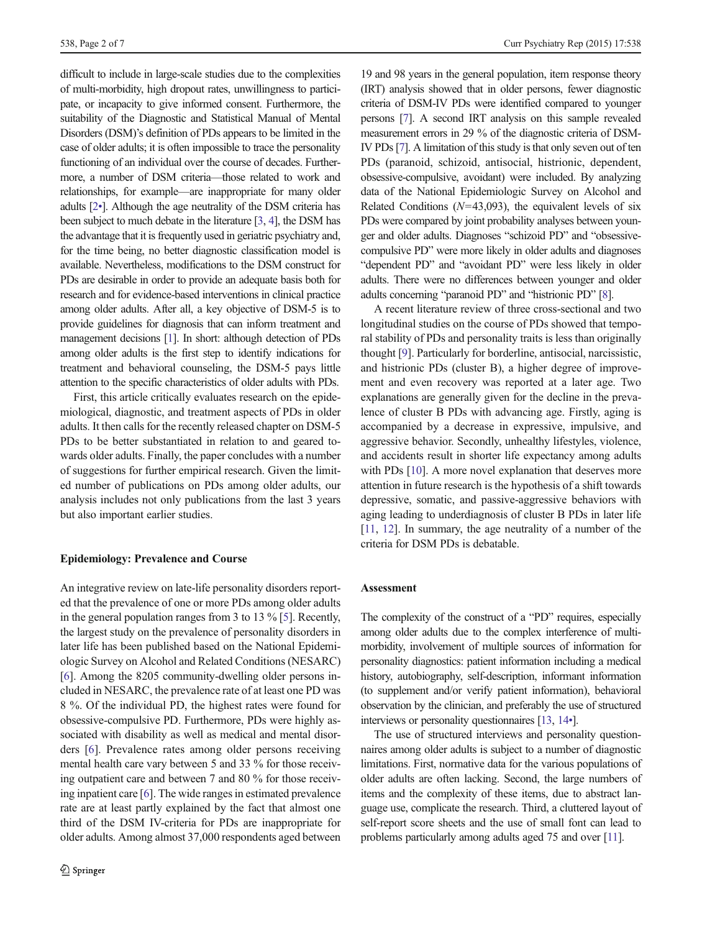difficult to include in large-scale studies due to the complexities of multi-morbidity, high dropout rates, unwillingness to participate, or incapacity to give informed consent. Furthermore, the suitability of the Diagnostic and Statistical Manual of Mental Disorders (DSM)'s definition of PDs appears to be limited in the case of older adults; it is often impossible to trace the personality functioning of an individual over the course of decades. Furthermore, a number of DSM criteria—those related to work and relationships, for example—are inappropriate for many older adults [[2](#page-5-0)•]. Although the age neutrality of the DSM criteria has been subject to much debate in the literature [[3](#page-5-0), [4\]](#page-5-0), the DSM has the advantage that it is frequently used in geriatric psychiatry and, for the time being, no better diagnostic classification model is available. Nevertheless, modifications to the DSM construct for PDs are desirable in order to provide an adequate basis both for research and for evidence-based interventions in clinical practice among older adults. After all, a key objective of DSM-5 is to provide guidelines for diagnosis that can inform treatment and management decisions [\[1\]](#page-4-0). In short: although detection of PDs among older adults is the first step to identify indications for treatment and behavioral counseling, the DSM-5 pays little attention to the specific characteristics of older adults with PDs.

First, this article critically evaluates research on the epidemiological, diagnostic, and treatment aspects of PDs in older adults. It then calls for the recently released chapter on DSM-5 PDs to be better substantiated in relation to and geared towards older adults. Finally, the paper concludes with a number of suggestions for further empirical research. Given the limited number of publications on PDs among older adults, our analysis includes not only publications from the last 3 years but also important earlier studies.

### Epidemiology: Prevalence and Course

An integrative review on late-life personality disorders reported that the prevalence of one or more PDs among older adults in the general population ranges from 3 to 13 % [\[5](#page-5-0)]. Recently, the largest study on the prevalence of personality disorders in later life has been published based on the National Epidemiologic Survey on Alcohol and Related Conditions (NESARC) [\[6](#page-5-0)]. Among the 8205 community-dwelling older persons included in NESARC, the prevalence rate of at least one PD was 8 %. Of the individual PD, the highest rates were found for obsessive-compulsive PD. Furthermore, PDs were highly associated with disability as well as medical and mental disorders [\[6](#page-5-0)]. Prevalence rates among older persons receiving mental health care vary between 5 and 33 % for those receiving outpatient care and between 7 and 80 % for those receiving inpatient care [[6\]](#page-5-0). The wide ranges in estimated prevalence rate are at least partly explained by the fact that almost one third of the DSM IV-criteria for PDs are inappropriate for older adults. Among almost 37,000 respondents aged between

19 and 98 years in the general population, item response theory (IRT) analysis showed that in older persons, fewer diagnostic criteria of DSM-IV PDs were identified compared to younger persons [\[7\]](#page-5-0). A second IRT analysis on this sample revealed measurement errors in 29 % of the diagnostic criteria of DSM-IV PDs [[7](#page-5-0)]. A limitation of this study is that only seven out of ten PDs (paranoid, schizoid, antisocial, histrionic, dependent, obsessive-compulsive, avoidant) were included. By analyzing data of the National Epidemiologic Survey on Alcohol and Related Conditions ( $N=43,093$ ), the equivalent levels of six PDs were compared by joint probability analyses between younger and older adults. Diagnoses "schizoid PD" and "obsessivecompulsive PD" were more likely in older adults and diagnoses "dependent PD" and "avoidant PD" were less likely in older adults. There were no differences between younger and older adults concerning "paranoid PD" and "histrionic PD" [\[8\]](#page-5-0).

A recent literature review of three cross-sectional and two longitudinal studies on the course of PDs showed that temporal stability of PDs and personality traits is less than originally thought [\[9\]](#page-5-0). Particularly for borderline, antisocial, narcissistic, and histrionic PDs (cluster B), a higher degree of improvement and even recovery was reported at a later age. Two explanations are generally given for the decline in the prevalence of cluster B PDs with advancing age. Firstly, aging is accompanied by a decrease in expressive, impulsive, and aggressive behavior. Secondly, unhealthy lifestyles, violence, and accidents result in shorter life expectancy among adults with PDs [\[10](#page-5-0)]. A more novel explanation that deserves more attention in future research is the hypothesis of a shift towards depressive, somatic, and passive-aggressive behaviors with aging leading to underdiagnosis of cluster B PDs in later life [\[11,](#page-5-0) [12](#page-5-0)]. In summary, the age neutrality of a number of the criteria for DSM PDs is debatable.

## Assessment

The complexity of the construct of a "PD" requires, especially among older adults due to the complex interference of multimorbidity, involvement of multiple sources of information for personality diagnostics: patient information including a medical history, autobiography, self-description, informant information (to supplement and/or verify patient information), behavioral observation by the clinician, and preferably the use of structured interviews or personality questionnaires [\[13](#page-5-0), [14](#page-5-0)•].

The use of structured interviews and personality questionnaires among older adults is subject to a number of diagnostic limitations. First, normative data for the various populations of older adults are often lacking. Second, the large numbers of items and the complexity of these items, due to abstract language use, complicate the research. Third, a cluttered layout of self-report score sheets and the use of small font can lead to problems particularly among adults aged 75 and over [\[11\]](#page-5-0).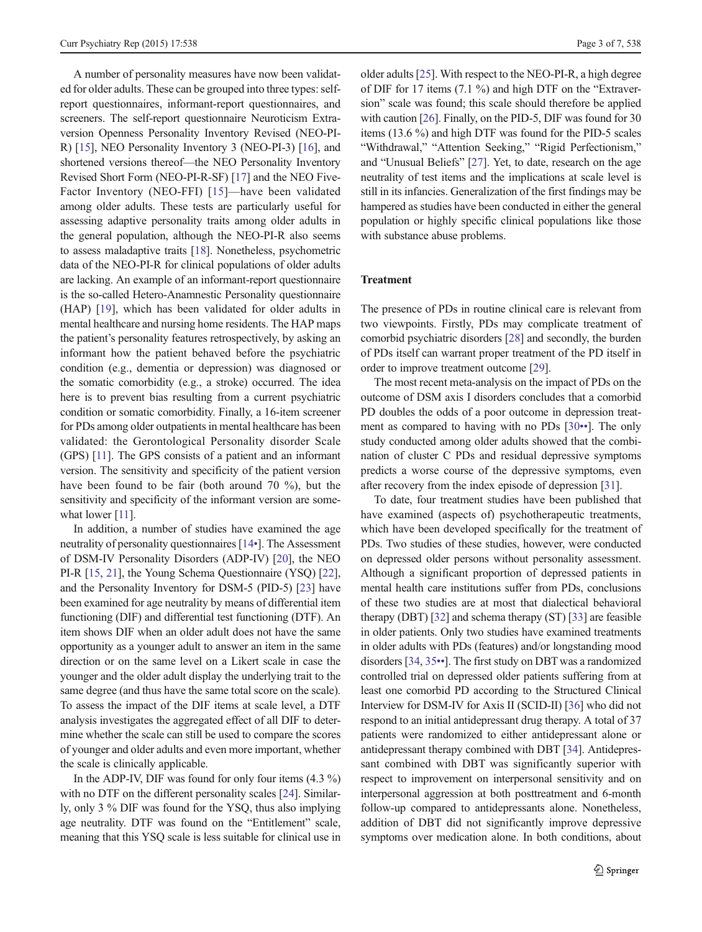A number of personality measures have now been validated for older adults. These can be grouped into three types: selfreport questionnaires, informant-report questionnaires, and screeners. The self-report questionnaire Neuroticism Extraversion Openness Personality Inventory Revised (NEO-PI-R) [\[15\]](#page-5-0), NEO Personality Inventory 3 (NEO-PI-3) [\[16](#page-5-0)], and shortened versions thereof—the NEO Personality Inventory Revised Short Form (NEO-PI-R-SF) [\[17](#page-5-0)] and the NEO Five-Factor Inventory (NEO-FFI) [[15](#page-5-0)]—have been validated among older adults. These tests are particularly useful for assessing adaptive personality traits among older adults in the general population, although the NEO-PI-R also seems to assess maladaptive traits [\[18\]](#page-5-0). Nonetheless, psychometric data of the NEO-PI-R for clinical populations of older adults are lacking. An example of an informant-report questionnaire is the so-called Hetero-Anamnestic Personality questionnaire (HAP) [[19\]](#page-5-0), which has been validated for older adults in mental healthcare and nursing home residents. The HAP maps the patient's personality features retrospectively, by asking an informant how the patient behaved before the psychiatric condition (e.g., dementia or depression) was diagnosed or the somatic comorbidity (e.g., a stroke) occurred. The idea here is to prevent bias resulting from a current psychiatric condition or somatic comorbidity. Finally, a 16-item screener for PDs among older outpatients in mental healthcare has been validated: the Gerontological Personality disorder Scale (GPS) [[11](#page-5-0)]. The GPS consists of a patient and an informant version. The sensitivity and specificity of the patient version have been found to be fair (both around 70 %), but the sensitivity and specificity of the informant version are some-what lower [\[11\]](#page-5-0).

In addition, a number of studies have examined the age neutrality of personality questionnaires [[14](#page-5-0)•]. The Assessment of DSM-IV Personality Disorders (ADP-IV) [[20](#page-5-0)], the NEO PI-R [\[15,](#page-5-0) [21](#page-5-0)], the Young Schema Questionnaire (YSQ) [[22\]](#page-5-0), and the Personality Inventory for DSM-5 (PID-5) [\[23](#page-5-0)] have been examined for age neutrality by means of differential item functioning (DIF) and differential test functioning (DTF). An item shows DIF when an older adult does not have the same opportunity as a younger adult to answer an item in the same direction or on the same level on a Likert scale in case the younger and the older adult display the underlying trait to the same degree (and thus have the same total score on the scale). To assess the impact of the DIF items at scale level, a DTF analysis investigates the aggregated effect of all DIF to determine whether the scale can still be used to compare the scores of younger and older adults and even more important, whether the scale is clinically applicable.

In the ADP-IV, DIF was found for only four items (4.3 %) with no DTF on the different personality scales [\[24\]](#page-5-0). Similarly, only 3 % DIF was found for the YSQ, thus also implying age neutrality. DTF was found on the "Entitlement" scale, meaning that this YSQ scale is less suitable for clinical use in older adults [\[25\]](#page-5-0). With respect to the NEO-PI-R, a high degree of DIF for 17 items (7.1 %) and high DTF on the "Extraversion" scale was found; this scale should therefore be applied with caution [\[26\]](#page-5-0). Finally, on the PID-5, DIF was found for 30 items (13.6 %) and high DTF was found for the PID-5 scales "Withdrawal," "Attention Seeking," "Rigid Perfectionism," and "Unusual Beliefs" [\[27\]](#page-5-0). Yet, to date, research on the age neutrality of test items and the implications at scale level is still in its infancies. Generalization of the first findings may be hampered as studies have been conducted in either the general population or highly specific clinical populations like those with substance abuse problems.

## Treatment

The presence of PDs in routine clinical care is relevant from two viewpoints. Firstly, PDs may complicate treatment of comorbid psychiatric disorders [[28\]](#page-5-0) and secondly, the burden of PDs itself can warrant proper treatment of the PD itself in order to improve treatment outcome [\[29](#page-5-0)].

The most recent meta-analysis on the impact of PDs on the outcome of DSM axis I disorders concludes that a comorbid PD doubles the odds of a poor outcome in depression treatment as compared to having with no PDs [\[30](#page-5-0)••]. The only study conducted among older adults showed that the combination of cluster C PDs and residual depressive symptoms predicts a worse course of the depressive symptoms, even after recovery from the index episode of depression [[31\]](#page-5-0).

To date, four treatment studies have been published that have examined (aspects of) psychotherapeutic treatments, which have been developed specifically for the treatment of PDs. Two studies of these studies, however, were conducted on depressed older persons without personality assessment. Although a significant proportion of depressed patients in mental health care institutions suffer from PDs, conclusions of these two studies are at most that dialectical behavioral therapy (DBT) [[32](#page-5-0)] and schema therapy (ST) [\[33](#page-5-0)] are feasible in older patients. Only two studies have examined treatments in older adults with PDs (features) and/or longstanding mood disorders [[34](#page-5-0), [35](#page-5-0)••]. The first study on DBT was a randomized controlled trial on depressed older patients suffering from at least one comorbid PD according to the Structured Clinical Interview for DSM-IV for Axis II (SCID-II) [\[36](#page-5-0)] who did not respond to an initial antidepressant drug therapy. A total of 37 patients were randomized to either antidepressant alone or antidepressant therapy combined with DBT [[34\]](#page-5-0). Antidepressant combined with DBT was significantly superior with respect to improvement on interpersonal sensitivity and on interpersonal aggression at both posttreatment and 6-month follow-up compared to antidepressants alone. Nonetheless, addition of DBT did not significantly improve depressive symptoms over medication alone. In both conditions, about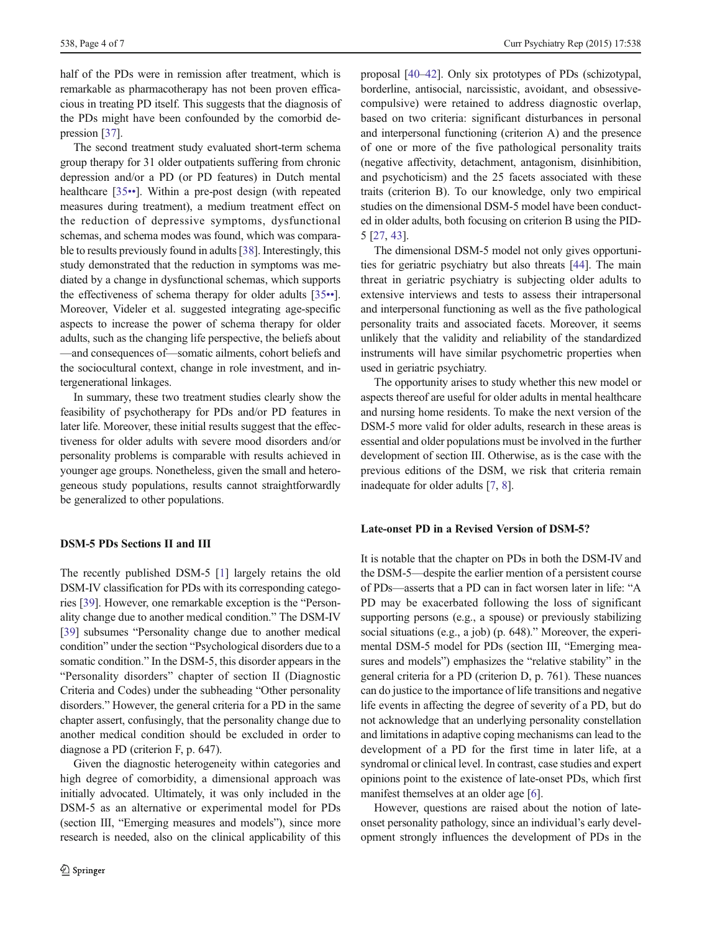half of the PDs were in remission after treatment, which is remarkable as pharmacotherapy has not been proven efficacious in treating PD itself. This suggests that the diagnosis of the PDs might have been confounded by the comorbid depression [\[37\]](#page-6-0).

The second treatment study evaluated short-term schema group therapy for 31 older outpatients suffering from chronic depression and/or a PD (or PD features) in Dutch mental healthcare [[35](#page-5-0)••]. Within a pre-post design (with repeated measures during treatment), a medium treatment effect on the reduction of depressive symptoms, dysfunctional schemas, and schema modes was found, which was comparable to results previously found in adults [[38\]](#page-6-0). Interestingly, this study demonstrated that the reduction in symptoms was mediated by a change in dysfunctional schemas, which supports the effectiveness of schema therapy for older adults [\[35](#page-5-0)••]. Moreover, Videler et al. suggested integrating age-specific aspects to increase the power of schema therapy for older adults, such as the changing life perspective, the beliefs about —and consequences of—somatic ailments, cohort beliefs and the sociocultural context, change in role investment, and intergenerational linkages.

In summary, these two treatment studies clearly show the feasibility of psychotherapy for PDs and/or PD features in later life. Moreover, these initial results suggest that the effectiveness for older adults with severe mood disorders and/or personality problems is comparable with results achieved in younger age groups. Nonetheless, given the small and heterogeneous study populations, results cannot straightforwardly be generalized to other populations.

## DSM-5 PDs Sections II and III

The recently published DSM-5 [\[1](#page-4-0)] largely retains the old DSM-IV classification for PDs with its corresponding categories [[39](#page-6-0)]. However, one remarkable exception is the "Personality change due to another medical condition." The DSM-IV [\[39\]](#page-6-0) subsumes "Personality change due to another medical condition" under the section "Psychological disorders due to a somatic condition." In the DSM-5, this disorder appears in the "Personality disorders" chapter of section II (Diagnostic Criteria and Codes) under the subheading "Other personality disorders." However, the general criteria for a PD in the same chapter assert, confusingly, that the personality change due to another medical condition should be excluded in order to diagnose a PD (criterion F, p. 647).

Given the diagnostic heterogeneity within categories and high degree of comorbidity, a dimensional approach was initially advocated. Ultimately, it was only included in the DSM-5 as an alternative or experimental model for PDs (section III, "Emerging measures and models"), since more research is needed, also on the clinical applicability of this proposal [\[40](#page-6-0)–[42\]](#page-6-0). Only six prototypes of PDs (schizotypal, borderline, antisocial, narcissistic, avoidant, and obsessivecompulsive) were retained to address diagnostic overlap, based on two criteria: significant disturbances in personal and interpersonal functioning (criterion A) and the presence of one or more of the five pathological personality traits (negative affectivity, detachment, antagonism, disinhibition, and psychoticism) and the 25 facets associated with these traits (criterion B). To our knowledge, only two empirical studies on the dimensional DSM-5 model have been conducted in older adults, both focusing on criterion B using the PID-5 [[27,](#page-5-0) [43\]](#page-6-0).

The dimensional DSM-5 model not only gives opportunities for geriatric psychiatry but also threats [\[44](#page-6-0)]. The main threat in geriatric psychiatry is subjecting older adults to extensive interviews and tests to assess their intrapersonal and interpersonal functioning as well as the five pathological personality traits and associated facets. Moreover, it seems unlikely that the validity and reliability of the standardized instruments will have similar psychometric properties when used in geriatric psychiatry.

The opportunity arises to study whether this new model or aspects thereof are useful for older adults in mental healthcare and nursing home residents. To make the next version of the DSM-5 more valid for older adults, research in these areas is essential and older populations must be involved in the further development of section III. Otherwise, as is the case with the previous editions of the DSM, we risk that criteria remain inadequate for older adults [[7,](#page-5-0) [8\]](#page-5-0).

### Late-onset PD in a Revised Version of DSM-5?

It is notable that the chapter on PDs in both the DSM-IV and the DSM-5—despite the earlier mention of a persistent course of PDs—asserts that a PD can in fact worsen later in life: "A PD may be exacerbated following the loss of significant supporting persons (e.g., a spouse) or previously stabilizing social situations (e.g., a job) (p. 648)." Moreover, the experimental DSM-5 model for PDs (section III, "Emerging measures and models") emphasizes the "relative stability" in the general criteria for a PD (criterion D, p. 761). These nuances can do justice to the importance of life transitions and negative life events in affecting the degree of severity of a PD, but do not acknowledge that an underlying personality constellation and limitations in adaptive coping mechanisms can lead to the development of a PD for the first time in later life, at a syndromal or clinical level. In contrast, case studies and expert opinions point to the existence of late-onset PDs, which first manifest themselves at an older age [[6\]](#page-5-0).

However, questions are raised about the notion of lateonset personality pathology, since an individual's early development strongly influences the development of PDs in the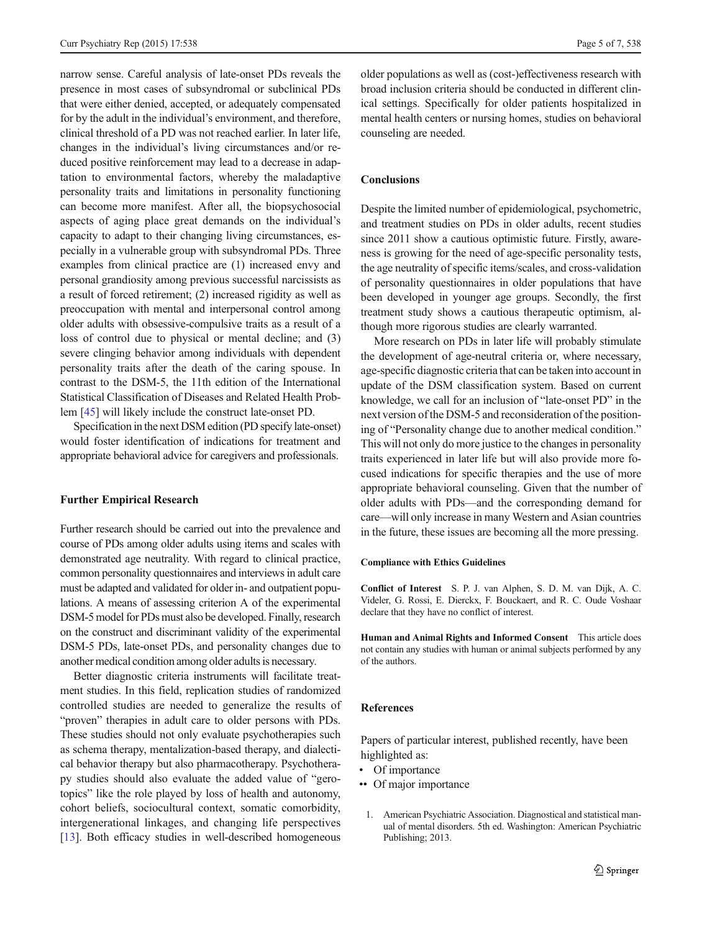<span id="page-4-0"></span>narrow sense. Careful analysis of late-onset PDs reveals the presence in most cases of subsyndromal or subclinical PDs that were either denied, accepted, or adequately compensated for by the adult in the individual's environment, and therefore, clinical threshold of a PD was not reached earlier. In later life, changes in the individual's living circumstances and/or reduced positive reinforcement may lead to a decrease in adaptation to environmental factors, whereby the maladaptive personality traits and limitations in personality functioning can become more manifest. After all, the biopsychosocial aspects of aging place great demands on the individual's capacity to adapt to their changing living circumstances, especially in a vulnerable group with subsyndromal PDs. Three examples from clinical practice are (1) increased envy and personal grandiosity among previous successful narcissists as a result of forced retirement; (2) increased rigidity as well as preoccupation with mental and interpersonal control among older adults with obsessive-compulsive traits as a result of a loss of control due to physical or mental decline; and (3) severe clinging behavior among individuals with dependent personality traits after the death of the caring spouse. In contrast to the DSM-5, the 11th edition of the International Statistical Classification of Diseases and Related Health Problem [\[45](#page-6-0)] will likely include the construct late-onset PD.

Specification in the next DSM edition (PD specify late-onset) would foster identification of indications for treatment and appropriate behavioral advice for caregivers and professionals.

### Further Empirical Research

Further research should be carried out into the prevalence and course of PDs among older adults using items and scales with demonstrated age neutrality. With regard to clinical practice, common personality questionnaires and interviews in adult care must be adapted and validated for older in- and outpatient populations. A means of assessing criterion A of the experimental DSM-5 model for PDs must also be developed. Finally, research on the construct and discriminant validity of the experimental DSM-5 PDs, late-onset PDs, and personality changes due to another medical condition among older adults is necessary.

Better diagnostic criteria instruments will facilitate treatment studies. In this field, replication studies of randomized controlled studies are needed to generalize the results of "proven" therapies in adult care to older persons with PDs. These studies should not only evaluate psychotherapies such as schema therapy, mentalization-based therapy, and dialectical behavior therapy but also pharmacotherapy. Psychotherapy studies should also evaluate the added value of "gerotopics" like the role played by loss of health and autonomy, cohort beliefs, sociocultural context, somatic comorbidity, intergenerational linkages, and changing life perspectives [\[13\]](#page-5-0). Both efficacy studies in well-described homogeneous

older populations as well as (cost-)effectiveness research with broad inclusion criteria should be conducted in different clinical settings. Specifically for older patients hospitalized in mental health centers or nursing homes, studies on behavioral counseling are needed.

## Conclusions

Despite the limited number of epidemiological, psychometric, and treatment studies on PDs in older adults, recent studies since 2011 show a cautious optimistic future. Firstly, awareness is growing for the need of age-specific personality tests, the age neutrality of specific items/scales, and cross-validation of personality questionnaires in older populations that have been developed in younger age groups. Secondly, the first treatment study shows a cautious therapeutic optimism, although more rigorous studies are clearly warranted.

More research on PDs in later life will probably stimulate the development of age-neutral criteria or, where necessary, age-specific diagnostic criteria that can be taken into account in update of the DSM classification system. Based on current knowledge, we call for an inclusion of "late-onset PD" in the next version of the DSM-5 and reconsideration of the positioning of "Personality change due to another medical condition." This will not only do more justice to the changes in personality traits experienced in later life but will also provide more focused indications for specific therapies and the use of more appropriate behavioral counseling. Given that the number of older adults with PDs—and the corresponding demand for care—will only increase in many Western and Asian countries in the future, these issues are becoming all the more pressing.

#### Compliance with Ethics Guidelines

Conflict of Interest S. P. J. van Alphen, S. D. M. van Dijk, A. C. Videler, G. Rossi, E. Dierckx, F. Bouckaert, and R. C. Oude Voshaar declare that they have no conflict of interest.

Human and Animal Rights and Informed Consent This article does not contain any studies with human or animal subjects performed by any of the authors.

#### References

Papers of particular interest, published recently, have been highlighted as:

- Of importance
- •• Of major importance
	- 1. American Psychiatric Association. Diagnostical and statistical manual of mental disorders. 5th ed. Washington: American Psychiatric Publishing; 2013.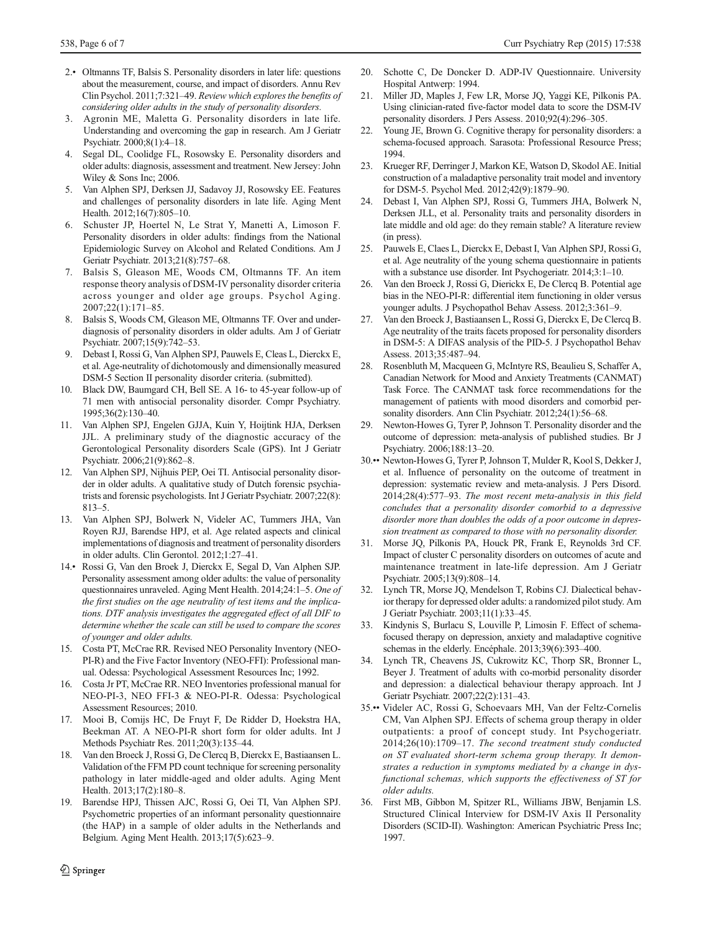- <span id="page-5-0"></span>2.• Oltmanns TF, Balsis S. Personality disorders in later life: questions about the measurement, course, and impact of disorders. Annu Rev Clin Psychol. 2011;7:321–49. Review which explores the benefits of considering older adults in the study of personality disorders.
- 3. Agronin ME, Maletta G. Personality disorders in late life. Understanding and overcoming the gap in research. Am J Geriatr Psychiatr. 2000;8(1):4–18.
- 4. Segal DL, Coolidge FL, Rosowsky E. Personality disorders and older adults: diagnosis, assessment and treatment. New Jersey: John Wiley & Sons Inc; 2006.
- 5. Van Alphen SPJ, Derksen JJ, Sadavoy JJ, Rosowsky EE. Features and challenges of personality disorders in late life. Aging Ment Health. 2012;16(7):805–10.
- 6. Schuster JP, Hoertel N, Le Strat Y, Manetti A, Limoson F. Personality disorders in older adults: findings from the National Epidemiologic Survey on Alcohol and Related Conditions. Am J Geriatr Psychiatr. 2013;21(8):757–68.
- 7. Balsis S, Gleason ME, Woods CM, Oltmanns TF. An item response theory analysis of DSM-IV personality disorder criteria across younger and older age groups. Psychol Aging. 2007;22(1):171–85.
- 8. Balsis S, Woods CM, Gleason ME, Oltmanns TF. Over and underdiagnosis of personality disorders in older adults. Am J of Geriatr Psychiatr. 2007;15(9):742–53.
- 9. Debast I, Rossi G, Van Alphen SPJ, Pauwels E, Cleas L, Dierckx E, et al. Age-neutrality of dichotomously and dimensionally measured DSM-5 Section II personality disorder criteria. (submitted).
- 10. Black DW, Baumgard CH, Bell SE. A 16- to 45-year follow-up of 71 men with antisocial personality disorder. Compr Psychiatry. 1995;36(2):130–40.
- 11. Van Alphen SPJ, Engelen GJJA, Kuin Y, Hoijtink HJA, Derksen JJL. A preliminary study of the diagnostic accuracy of the Gerontological Personality disorders Scale (GPS). Int J Geriatr Psychiatr. 2006;21(9):862–8.
- 12. Van Alphen SPJ, Nijhuis PEP, Oei TI. Antisocial personality disorder in older adults. A qualitative study of Dutch forensic psychiatrists and forensic psychologists. Int J Geriatr Psychiatr. 2007;22(8): 813–5.
- 13. Van Alphen SPJ, Bolwerk N, Videler AC, Tummers JHA, Van Royen RJJ, Barendse HPJ, et al. Age related aspects and clinical implementations of diagnosis and treatment of personality disorders in older adults. Clin Gerontol. 2012;1:27–41.
- 14.• Rossi G, Van den Broek J, Dierckx E, Segal D, Van Alphen SJP. Personality assessment among older adults: the value of personality questionnaires unraveled. Aging Ment Health. 2014;24:1–5. One of the first studies on the age neutrality of test items and the implications. DTF analysis investigates the aggregated effect of all DIF to determine whether the scale can still be used to compare the scores of younger and older adults.
- 15. Costa PT, McCrae RR. Revised NEO Personality Inventory (NEO-PI-R) and the Five Factor Inventory (NEO-FFI): Professional manual. Odessa: Psychological Assessment Resources Inc; 1992.
- 16. Costa Jr PT, McCrae RR. NEO Inventories professional manual for NEO-PI-3, NEO FFI-3 & NEO-PI-R. Odessa: Psychological Assessment Resources; 2010.
- 17. Mooi B, Comijs HC, De Fruyt F, De Ridder D, Hoekstra HA, Beekman AT. A NEO-PI-R short form for older adults. Int J Methods Psychiatr Res. 2011;20(3):135–44.
- 18. Van den Broeck J, Rossi G, De Clercq B, Dierckx E, Bastiaansen L. Validation of the FFM PD count technique for screening personality pathology in later middle-aged and older adults. Aging Ment Health. 2013;17(2):180–8.
- 19. Barendse HPJ, Thissen AJC, Rossi G, Oei TI, Van Alphen SPJ. Psychometric properties of an informant personality questionnaire (the HAP) in a sample of older adults in the Netherlands and Belgium. Aging Ment Health. 2013;17(5):623–9.
- 20. Schotte C, De Doncker D. ADP-IV Questionnaire. University Hospital Antwerp: 1994.
- 21. Miller JD, Maples J, Few LR, Morse JQ, Yaggi KE, Pilkonis PA. Using clinician-rated five-factor model data to score the DSM-IV personality disorders. J Pers Assess. 2010;92(4):296–305.
- 22. Young JE, Brown G. Cognitive therapy for personality disorders: a schema-focused approach. Sarasota: Professional Resource Press; 1994.
- 23. Krueger RF, Derringer J, Markon KE, Watson D, Skodol AE. Initial construction of a maladaptive personality trait model and inventory for DSM-5. Psychol Med. 2012;42(9):1879–90.
- 24. Debast I, Van Alphen SPJ, Rossi G, Tummers JHA, Bolwerk N, Derksen JLL, et al. Personality traits and personality disorders in late middle and old age: do they remain stable? A literature review (in press).
- 25. Pauwels E, Claes L, Dierckx E, Debast I, Van Alphen SPJ, Rossi G, et al. Age neutrality of the young schema questionnaire in patients with a substance use disorder. Int Psychogeriatr. 2014;3:1–10.
- 26. Van den Broeck J, Rossi G, Dierickx E, De Clercq B. Potential age bias in the NEO-PI-R: differential item functioning in older versus younger adults. J Psychopathol Behav Assess. 2012;3:361–9.
- 27. Van den Broeck J, Bastiaansen L, Rossi G, Dierckx E, De Clercq B. Age neutrality of the traits facets proposed for personality disorders in DSM-5: A DIFAS analysis of the PID-5. J Psychopathol Behav Assess. 2013;35:487–94.
- 28. Rosenbluth M, Macqueen G, McIntyre RS, Beaulieu S, Schaffer A, Canadian Network for Mood and Anxiety Treatments (CANMAT) Task Force. The CANMAT task force recommendations for the management of patients with mood disorders and comorbid personality disorders. Ann Clin Psychiatr. 2012;24(1):56–68.
- 29. Newton-Howes G, Tyrer P, Johnson T. Personality disorder and the outcome of depression: meta-analysis of published studies. Br J Psychiatry. 2006;188:13–20.
- 30.•• Newton-Howes G, Tyrer P, Johnson T, Mulder R, Kool S, Dekker J, et al. Influence of personality on the outcome of treatment in depression: systematic review and meta-analysis. J Pers Disord. 2014;28(4):577–93. The most recent meta-analysis in this field concludes that a personality disorder comorbid to a depressive disorder more than doubles the odds of a poor outcome in depression treatment as compared to those with no personality disorder.
- 31. Morse JQ, Pilkonis PA, Houck PR, Frank E, Reynolds 3rd CF. Impact of cluster C personality disorders on outcomes of acute and maintenance treatment in late-life depression. Am J Geriatr Psychiatr. 2005;13(9):808–14.
- 32. Lynch TR, Morse JQ, Mendelson T, Robins CJ. Dialectical behavior therapy for depressed older adults: a randomized pilot study. Am J Geriatr Psychiatr. 2003;11(1):33–45.
- 33. Kindynis S, Burlacu S, Louville P, Limosin F. Effect of schemafocused therapy on depression, anxiety and maladaptive cognitive schemas in the elderly. Encéphale. 2013;39(6):393–400.
- 34. Lynch TR, Cheavens JS, Cukrowitz KC, Thorp SR, Bronner L, Beyer J. Treatment of adults with co-morbid personality disorder and depression: a dialectical behaviour therapy approach. Int J Geriatr Psychiatr. 2007;22(2):131–43.
- 35.•• Videler AC, Rossi G, Schoevaars MH, Van der Feltz-Cornelis CM, Van Alphen SPJ. Effects of schema group therapy in older outpatients: a proof of concept study. Int Psychogeriatr. 2014;26(10):1709–17. The second treatment study conducted on ST evaluated short-term schema group therapy. It demonstrates a reduction in symptoms mediated by a change in dysfunctional schemas, which supports the effectiveness of ST for older adults.
- 36. First MB, Gibbon M, Spitzer RL, Williams JBW, Benjamin LS. Structured Clinical Interview for DSM-IV Axis II Personality Disorders (SCID-II). Washington: American Psychiatric Press Inc; 1997.